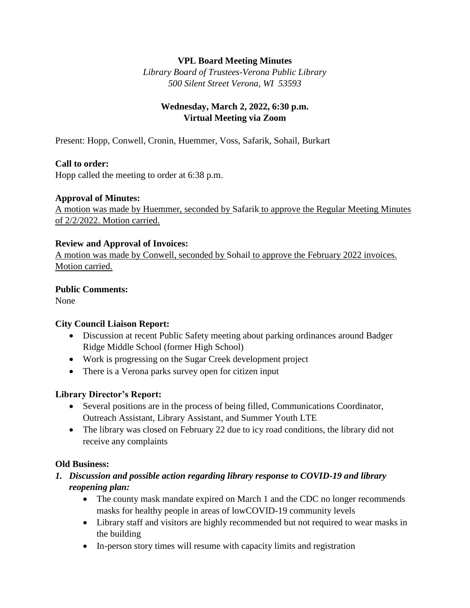## **VPL Board Meeting Minutes**

*Library Board of Trustees-Verona Public Library 500 Silent Street Verona, WI 53593*

# **Wednesday, March 2, 2022, 6:30 p.m. Virtual Meeting via Zoom**

Present: Hopp, Conwell, Cronin, Huemmer, Voss, Safarik, Sohail, Burkart

#### **Call to order:**

Hopp called the meeting to order at 6:38 p.m.

#### **Approval of Minutes:**

A motion was made by Huemmer, seconded by Safarik to approve the Regular Meeting Minutes of 2/2/2022. Motion carried.

#### **Review and Approval of Invoices:**

A motion was made by Conwell, seconded by Sohail to approve the February 2022 invoices. Motion carried.

#### **Public Comments:**

None

## **City Council Liaison Report:**

- Discussion at recent Public Safety meeting about parking ordinances around Badger Ridge Middle School (former High School)
- Work is progressing on the Sugar Creek development project
- There is a Verona parks survey open for citizen input

## **Library Director's Report:**

- Several positions are in the process of being filled, Communications Coordinator, Outreach Assistant, Library Assistant, and Summer Youth LTE
- The library was closed on February 22 due to icy road conditions, the library did not receive any complaints

## **Old Business:**

- *1. Discussion and possible action regarding library response to COVID-19 and library reopening plan:*
	- The county mask mandate expired on March 1 and the CDC no longer recommends masks for healthy people in areas of lowCOVID-19 community levels
	- Library staff and visitors are highly recommended but not required to wear masks in the building
	- In-person story times will resume with capacity limits and registration